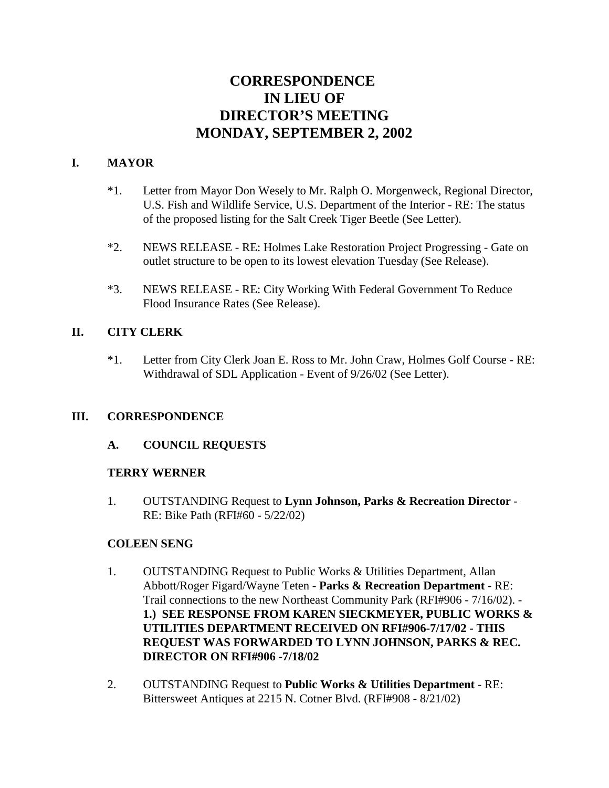# **CORRESPONDENCE IN LIEU OF DIRECTOR'S MEETING MONDAY, SEPTEMBER 2, 2002**

# **I. MAYOR**

- \*1. Letter from Mayor Don Wesely to Mr. Ralph O. Morgenweck, Regional Director, U.S. Fish and Wildlife Service, U.S. Department of the Interior - RE: The status of the proposed listing for the Salt Creek Tiger Beetle (See Letter).
- \*2. NEWS RELEASE RE: Holmes Lake Restoration Project Progressing Gate on outlet structure to be open to its lowest elevation Tuesday (See Release).
- \*3. NEWS RELEASE RE: City Working With Federal Government To Reduce Flood Insurance Rates (See Release).

# **II. CITY CLERK**

\*1. Letter from City Clerk Joan E. Ross to Mr. John Craw, Holmes Golf Course - RE: Withdrawal of SDL Application - Event of 9/26/02 (See Letter).

## **III. CORRESPONDENCE**

## **A. COUNCIL REQUESTS**

## **TERRY WERNER**

1. OUTSTANDING Request to **Lynn Johnson, Parks & Recreation Director** - RE: Bike Path (RFI#60 - 5/22/02)

## **COLEEN SENG**

- 1. OUTSTANDING Request to Public Works & Utilities Department, Allan Abbott/Roger Figard/Wayne Teten - **Parks & Recreation Department** - RE: Trail connections to the new Northeast Community Park (RFI#906 - 7/16/02). - **1.) SEE RESPONSE FROM KAREN SIECKMEYER, PUBLIC WORKS & UTILITIES DEPARTMENT RECEIVED ON RFI#906-7/17/02 - THIS REQUEST WAS FORWARDED TO LYNN JOHNSON, PARKS & REC. DIRECTOR ON RFI#906 -7/18/02**
- 2. OUTSTANDING Request to **Public Works & Utilities Department** RE: Bittersweet Antiques at 2215 N. Cotner Blvd. (RFI#908 - 8/21/02)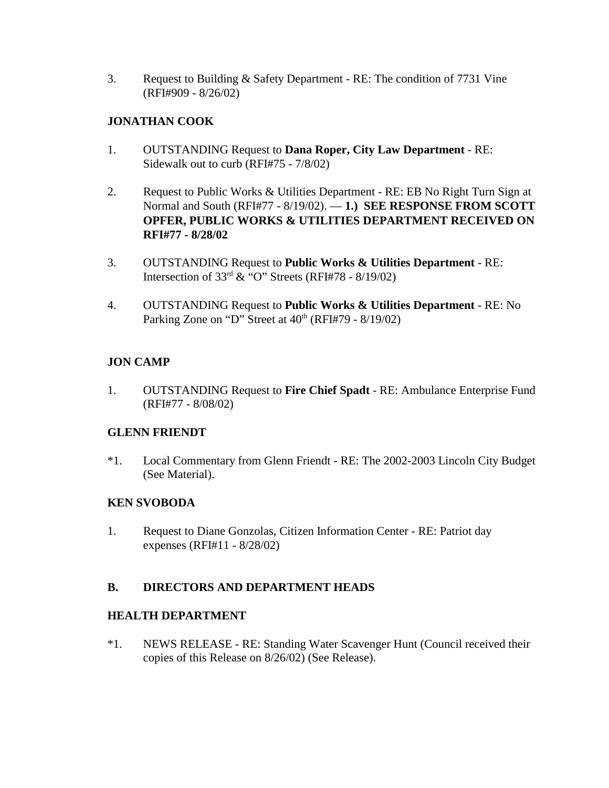3. Request to Building & Safety Department - RE: The condition of 7731 Vine (RFI#909 - 8/26/02)

## **JONATHAN COOK**

- 1. OUTSTANDING Request to **Dana Roper, City Law Department** RE: Sidewalk out to curb (RFI#75 - 7/8/02)
- 2. Request to Public Works & Utilities Department RE: EB No Right Turn Sign at Normal and South (RFI#77 - 8/19/02). — **1.) SEE RESPONSE FROM SCOTT OPFER, PUBLIC WORKS & UTILITIES DEPARTMENT RECEIVED ON RFI#77 - 8/28/02**
- 3. OUTSTANDING Request to **Public Works & Utilities Department** RE: Intersection of  $33<sup>rd</sup>$  & "O" Streets (RFI#78 - 8/19/02)
- 4. OUTSTANDING Request to **Public Works & Utilities Department** RE: No Parking Zone on "D" Street at  $40<sup>th</sup>$  (RFI#79 -  $8/19/02$ )

# **JON CAMP**

1. OUTSTANDING Request to **Fire Chief Spadt** - RE: Ambulance Enterprise Fund (RFI#77 - 8/08/02)

## **GLENN FRIENDT**

\*1. Local Commentary from Glenn Friendt - RE: The 2002-2003 Lincoln City Budget (See Material).

## **KEN SVOBODA**

1. Request to Diane Gonzolas, Citizen Information Center - RE: Patriot day expenses (RFI#11 - 8/28/02)

## **B. DIRECTORS AND DEPARTMENT HEADS**

## **HEALTH DEPARTMENT**

\*1. NEWS RELEASE - RE: Standing Water Scavenger Hunt (Council received their copies of this Release on 8/26/02) (See Release).